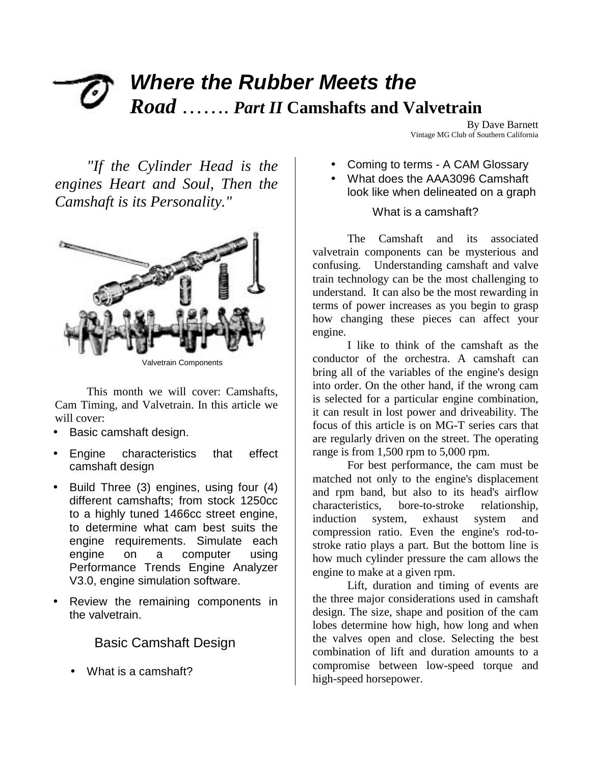# *Where the Rubber Meets the Road* ……. *Part II* **Camshafts and Valvetrain**

*"If the Cylinder Head is the engines Heart and Soul, Then the Camshaft is its Personality."*



Valvetrain Components

This month we will cover: Camshafts, Cam Timing, and Valvetrain. In this article we will cover:

- Basic camshaft design.
- Engine characteristics that effect camshaft design
- Build Three (3) engines, using four (4) different camshafts; from stock 1250cc to a highly tuned 1466cc street engine, to determine what cam best suits the engine requirements. Simulate each engine on a computer using Performance Trends Engine Analyzer V3.0, engine simulation software.
- Review the remaining components in the valvetrain.

## Basic Camshaft Design

• What is a camshaft?

By Dave Barnett Vintage MG Club of Southern California

- Coming to terms A CAM Glossary
- What does the AAA3096 Camshaft look like when delineated on a graph

## What is a camshaft?

The Camshaft and its associated valvetrain components can be mysterious and confusing. Understanding camshaft and valve train technology can be the most challenging to understand. It can also be the most rewarding in terms of power increases as you begin to grasp how changing these pieces can affect your engine.

I like to think of the camshaft as the conductor of the orchestra. A camshaft can bring all of the variables of the engine's design into order. On the other hand, if the wrong cam is selected for a particular engine combination, it can result in lost power and driveability. The focus of this article is on MG-T series cars that are regularly driven on the street. The operating range is from 1,500 rpm to 5,000 rpm.

For best performance, the cam must be matched not only to the engine's displacement and rpm band, but also to its head's airflow characteristics, bore-to-stroke relationship, induction system, exhaust system and compression ratio. Even the engine's rod-tostroke ratio plays a part. But the bottom line is how much cylinder pressure the cam allows the engine to make at a given rpm.

Lift, duration and timing of events are the three major considerations used in camshaft design. The size, shape and position of the cam lobes determine how high, how long and when the valves open and close. Selecting the best combination of lift and duration amounts to a compromise between low-speed torque and high-speed horsepower.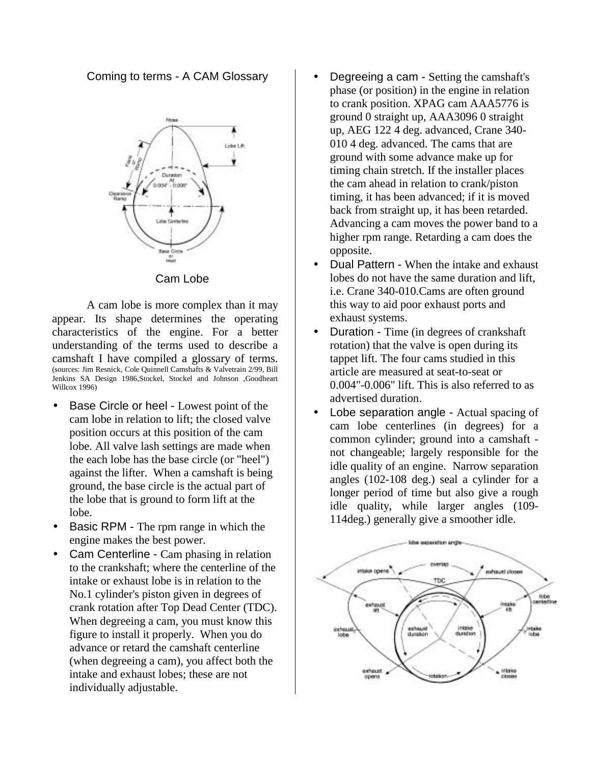Coming to terms - A CAM Glossary



#### Cam Lobe

A cam lobe is more complex than it may appear. Its shape determines the operating characteristics of the engine. For a better understanding of the terms used to describe a camshaft I have compiled a glossary of terms. (sources: Jim Resnick, Cole Quinnell Camshafts & Valvetrain 2/99, Bill Jenkins SA Design 1986,Stockel, Stockel and Johnson ,Goodheart Willcox 1996)

- Base Circle or heel Lowest point of the cam lobe in relation to lift; the closed valve position occurs at this position of the cam lobe. All valve lash settings are made when the each lobe has the base circle (or "heel") against the lifter. When a camshaft is being ground, the base circle is the actual part of the lobe that is ground to form lift at the lobe.
- Basic RPM The rpm range in which the engine makes the best power.
- Cam Centerline Cam phasing in relation to the crankshaft; where the centerline of the intake or exhaust lobe is in relation to the No.1 cylinder's piston given in degrees of crank rotation after Top Dead Center (TDC). When degreeing a cam, you must know this figure to install it properly. When you do advance or retard the camshaft centerline (when degreeing a cam), you affect both the intake and exhaust lobes; these are not individually adjustable.
- Degreeing a cam Setting the camshaft's phase (or position) in the engine in relation to crank position. XPAG cam AAA5776 is ground 0 straight up, AAA3096 0 straight up, AEG 122 4 deg. advanced, Crane 340- 010 4 deg. advanced. The cams that are ground with some advance make up for timing chain stretch. If the installer places the cam ahead in relation to crank/piston timing, it has been advanced; if it is moved back from straight up, it has been retarded. Advancing a cam moves the power band to a higher rpm range. Retarding a cam does the opposite.
- Dual Pattern When the intake and exhaust lobes do not have the same duration and lift, i.e. Crane 340-010.Cams are often ground this way to aid poor exhaust ports and exhaust systems.
- Duration Time (in degrees of crankshaft) rotation) that the valve is open during its tappet lift. The four cams studied in this article are measured at seat-to-seat or 0.004"-0.006" lift. This is also referred to as advertised duration.
- Lobe separation angle Actual spacing of cam lobe centerlines (in degrees) for a common cylinder; ground into a camshaft not changeable; largely responsible for the idle quality of an engine. Narrow separation angles (102-108 deg.) seal a cylinder for a longer period of time but also give a rough idle quality, while larger angles (109- 114deg.) generally give a smoother idle.

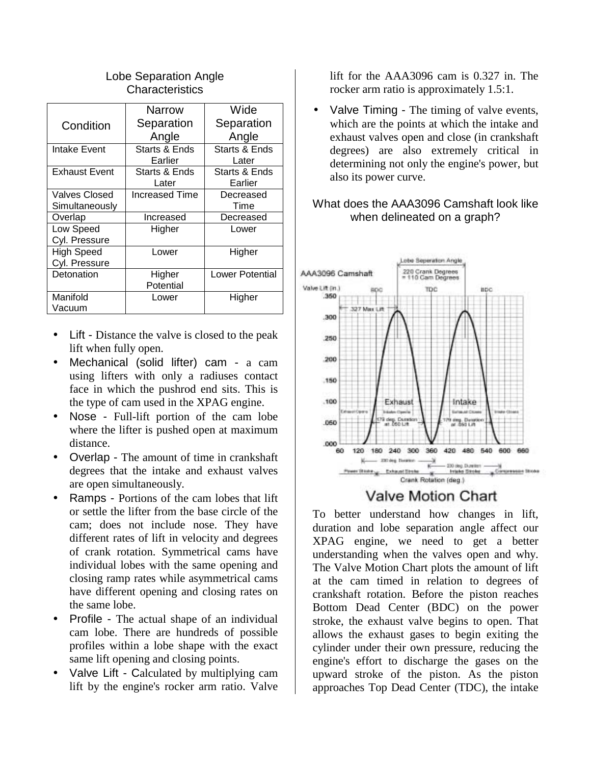|                      | Narrow         | Wide                   |
|----------------------|----------------|------------------------|
| Condition            | Separation     | Separation             |
|                      | Angle          | Angle                  |
| Intake Event         | Starts & Ends  | Starts & Ends          |
|                      | Earlier        | Later                  |
| <b>Exhaust Event</b> | Starts & Ends  | Starts & Ends          |
|                      | Later          | Earlier                |
| Valves Closed        | Increased Time | Decreased              |
| Simultaneously       |                | Time                   |
| Overlap              | Increased      | Decreased              |
| Low Speed            | Higher         | Lower                  |
| Cyl. Pressure        |                |                        |
| <b>High Speed</b>    | Lower          | Higher                 |
| Cyl. Pressure        |                |                        |
| Detonation           | Higher         | <b>Lower Potential</b> |
|                      | Potential      |                        |
| Manifold             | Lower          | Higher                 |
| Vacuum               |                |                        |

### Lobe Separation Angle **Characteristics**

- Lift Distance the valve is closed to the peak lift when fully open.
- Mechanical (solid lifter) cam a cam using lifters with only a radiuses contact face in which the pushrod end sits. This is the type of cam used in the XPAG engine.
- Nose Full-lift portion of the cam lobe where the lifter is pushed open at maximum distance.
- Overlap The amount of time in crankshaft degrees that the intake and exhaust valves are open simultaneously.
- Ramps Portions of the cam lobes that lift or settle the lifter from the base circle of the cam; does not include nose. They have different rates of lift in velocity and degrees of crank rotation. Symmetrical cams have individual lobes with the same opening and closing ramp rates while asymmetrical cams have different opening and closing rates on the same lobe.
- Profile The actual shape of an individual cam lobe. There are hundreds of possible profiles within a lobe shape with the exact same lift opening and closing points.
- Valve Lift Calculated by multiplying cam lift by the engine's rocker arm ratio. Valve

lift for the AAA3096 cam is 0.327 in. The rocker arm ratio is approximately 1.5:1.

• Valve Timing - The timing of valve events, which are the points at which the intake and exhaust valves open and close (in crankshaft degrees) are also extremely critical in determining not only the engine's power, but also its power curve.

## What does the AAA3096 Camshaft look like when delineated on a graph?



# Valve Motion Chart

To better understand how changes in lift, duration and lobe separation angle affect our XPAG engine, we need to get a better understanding when the valves open and why. The Valve Motion Chart plots the amount of lift at the cam timed in relation to degrees of crankshaft rotation. Before the piston reaches Bottom Dead Center (BDC) on the power stroke, the exhaust valve begins to open. That allows the exhaust gases to begin exiting the cylinder under their own pressure, reducing the engine's effort to discharge the gases on the upward stroke of the piston. As the piston approaches Top Dead Center (TDC), the intake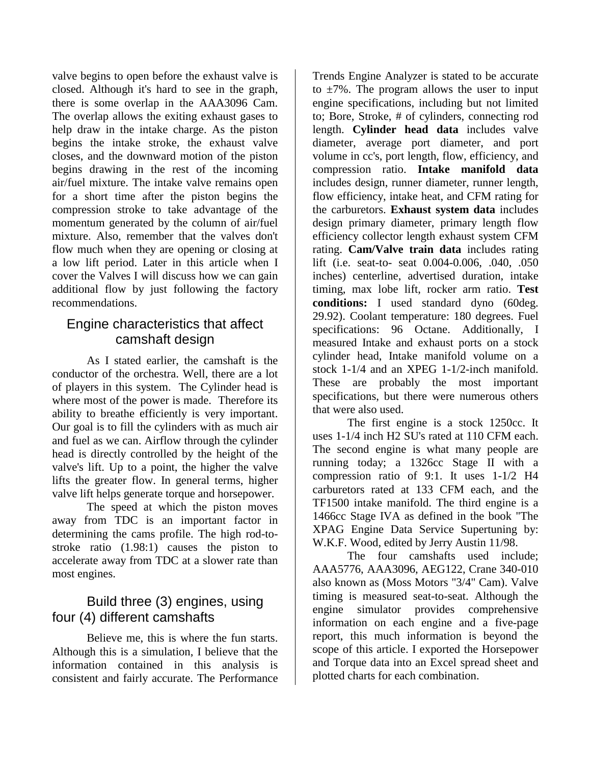valve begins to open before the exhaust valve is closed. Although it's hard to see in the graph, there is some overlap in the AAA3096 Cam. The overlap allows the exiting exhaust gases to help draw in the intake charge. As the piston begins the intake stroke, the exhaust valve closes, and the downward motion of the piston begins drawing in the rest of the incoming air/fuel mixture. The intake valve remains open for a short time after the piston begins the compression stroke to take advantage of the momentum generated by the column of air/fuel mixture. Also, remember that the valves don't flow much when they are opening or closing at a low lift period. Later in this article when I cover the Valves I will discuss how we can gain additional flow by just following the factory recommendations.

## Engine characteristics that affect camshaft design

As I stated earlier, the camshaft is the conductor of the orchestra. Well, there are a lot of players in this system. The Cylinder head is where most of the power is made. Therefore its ability to breathe efficiently is very important. Our goal is to fill the cylinders with as much air and fuel as we can. Airflow through the cylinder head is directly controlled by the height of the valve's lift. Up to a point, the higher the valve lifts the greater flow. In general terms, higher valve lift helps generate torque and horsepower.

The speed at which the piston moves away from TDC is an important factor in determining the cams profile. The high rod-tostroke ratio (1.98:1) causes the piston to accelerate away from TDC at a slower rate than most engines.

# Build three (3) engines, using four (4) different camshafts

Believe me, this is where the fun starts. Although this is a simulation, I believe that the information contained in this analysis is consistent and fairly accurate. The Performance

Trends Engine Analyzer is stated to be accurate to  $\pm 7\%$ . The program allows the user to input engine specifications, including but not limited to; Bore, Stroke, # of cylinders, connecting rod length. **Cylinder head data** includes valve diameter, average port diameter, and port volume in cc's, port length, flow, efficiency, and compression ratio. **Intake manifold data** includes design, runner diameter, runner length, flow efficiency, intake heat, and CFM rating for the carburetors. **Exhaust system data** includes design primary diameter, primary length flow efficiency collector length exhaust system CFM rating. **Cam/Valve train data** includes rating lift (i.e. seat-to- seat 0.004-0.006, .040, .050 inches) centerline, advertised duration, intake timing, max lobe lift, rocker arm ratio. **Test conditions:** I used standard dyno (60deg. 29.92). Coolant temperature: 180 degrees. Fuel specifications: 96 Octane. Additionally, I measured Intake and exhaust ports on a stock cylinder head, Intake manifold volume on a stock 1-1/4 and an XPEG 1-1/2-inch manifold. These are probably the most important specifications, but there were numerous others that were also used.

The first engine is a stock 1250cc. It uses 1-1/4 inch H2 SU's rated at 110 CFM each. The second engine is what many people are running today; a 1326cc Stage II with a compression ratio of 9:1. It uses 1-1/2 H4 carburetors rated at 133 CFM each, and the TF1500 intake manifold. The third engine is a 1466cc Stage IVA as defined in the book "The XPAG Engine Data Service Supertuning by: W.K.F. Wood, edited by Jerry Austin 11/98.

The four camshafts used include; AAA5776, AAA3096, AEG122, Crane 340-010 also known as (Moss Motors "3/4" Cam). Valve timing is measured seat-to-seat. Although the engine simulator provides comprehensive information on each engine and a five-page report, this much information is beyond the scope of this article. I exported the Horsepower and Torque data into an Excel spread sheet and plotted charts for each combination.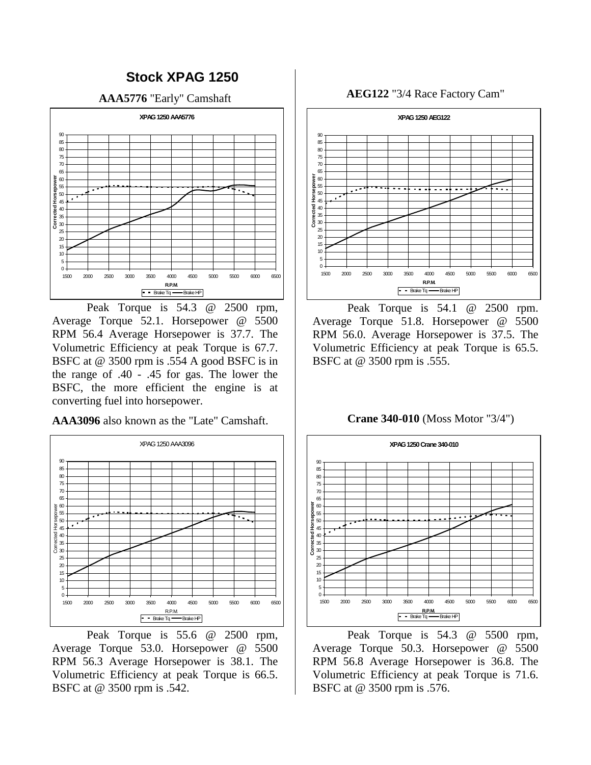

Peak Torque is 54.3 @ 2500 rpm, Average Torque 52.1. Horsepower @ 5500 RPM 56.4 Average Horsepower is 37.7. The Volumetric Efficiency at peak Torque is 67.7. BSFC at @ 3500 rpm is .554 A good BSFC is in the range of .40 - .45 for gas. The lower the BSFC, the more efficient the engine is at converting fuel into horsepower.

**AAA3096** also known as the "Late" Camshaft.



Peak Torque is 55.6 @ 2500 rpm, Average Torque 53.0. Horsepower @ 5500 RPM 56.3 Average Horsepower is 38.1. The Volumetric Efficiency at peak Torque is 66.5. BSFC at @ 3500 rpm is .542.

**AEG122** "3/4 Race Factory Cam"



Peak Torque is 54.1 @ 2500 rpm. Average Torque 51.8. Horsepower @ 5500 RPM 56.0. Average Horsepower is 37.5. The Volumetric Efficiency at peak Torque is 65.5. BSFC at @ 3500 rpm is .555.

**Crane 340-010** (Moss Motor "3/4")



Peak Torque is 54.3 @ 5500 rpm, Average Torque 50.3. Horsepower @ 5500 RPM 56.8 Average Horsepower is 36.8. The Volumetric Efficiency at peak Torque is 71.6. BSFC at @ 3500 rpm is .576.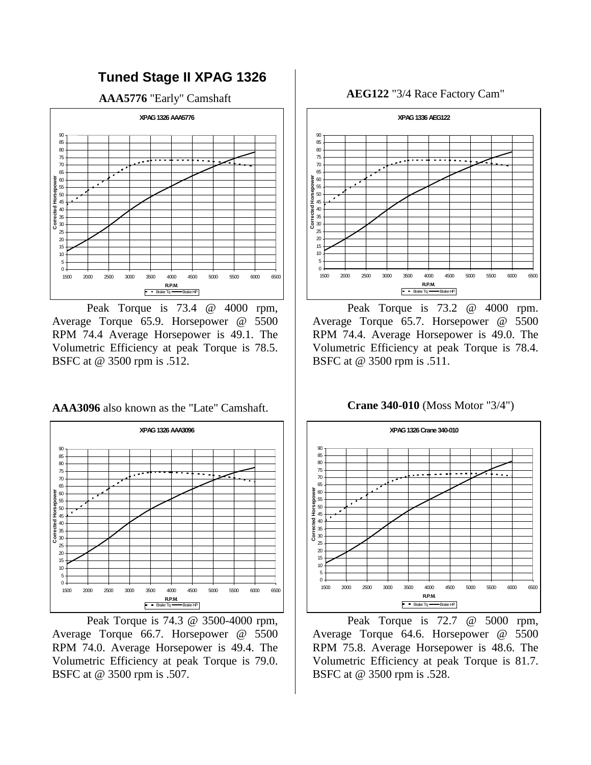

Peak Torque is 73.4 @ 4000 rpm, Average Torque 65.9. Horsepower @ 5500 RPM 74.4 Average Horsepower is 49.1. The Volumetric Efficiency at peak Torque is 78.5. BSFC at @ 3500 rpm is .512.

**AAA3096** also known as the "Late" Camshaft.



 Peak Torque is 74.3 @ 3500-4000 rpm, Average Torque 66.7. Horsepower @ 5500 RPM 74.0. Average Horsepower is 49.4. The Volumetric Efficiency at peak Torque is 79.0. BSFC at @ 3500 rpm is .507.

**AEG122** "3/4 Race Factory Cam"



Peak Torque is 73.2 @ 4000 rpm. Average Torque 65.7. Horsepower @ 5500 RPM 74.4. Average Horsepower is 49.0. The Volumetric Efficiency at peak Torque is 78.4. BSFC at @ 3500 rpm is .511.

**Crane 340-010** (Moss Motor "3/4")



Peak Torque is 72.7 @ 5000 rpm, Average Torque 64.6. Horsepower @ 5500 RPM 75.8. Average Horsepower is 48.6. The Volumetric Efficiency at peak Torque is 81.7. BSFC at @ 3500 rpm is .528.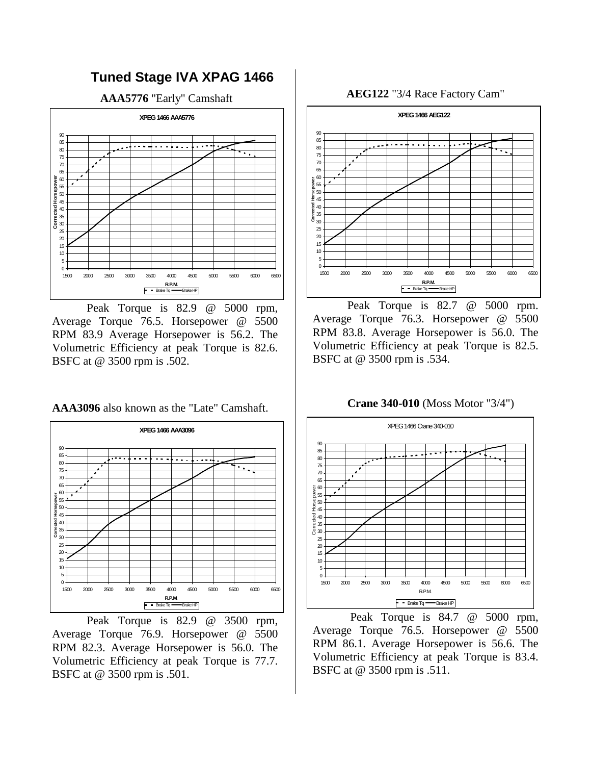

Peak Torque is 82.9 @ 5000 rpm, Average Torque 76.5. Horsepower @ 5500 RPM 83.9 Average Horsepower is 56.2. The Volumetric Efficiency at peak Torque is 82.6. BSFC at @ 3500 rpm is .502.

**AAA3096** also known as the "Late" Camshaft.



Peak Torque is 82.9 @ 3500 rpm, Average Torque 76.9. Horsepower @ 5500 RPM 82.3. Average Horsepower is 56.0. The Volumetric Efficiency at peak Torque is 77.7. BSFC at @ 3500 rpm is .501.

**AEG122** "3/4 Race Factory Cam"



Peak Torque is 82.7 @ 5000 rpm. Average Torque 76.3. Horsepower @ 5500 RPM 83.8. Average Horsepower is 56.0. The Volumetric Efficiency at peak Torque is 82.5. BSFC at @ 3500 rpm is .534.

**Crane 340-010** (Moss Motor "3/4")



 Peak Torque is 84.7 @ 5000 rpm, Average Torque 76.5. Horsepower @ 5500 RPM 86.1. Average Horsepower is 56.6. The Volumetric Efficiency at peak Torque is 83.4. BSFC at @ 3500 rpm is .511.